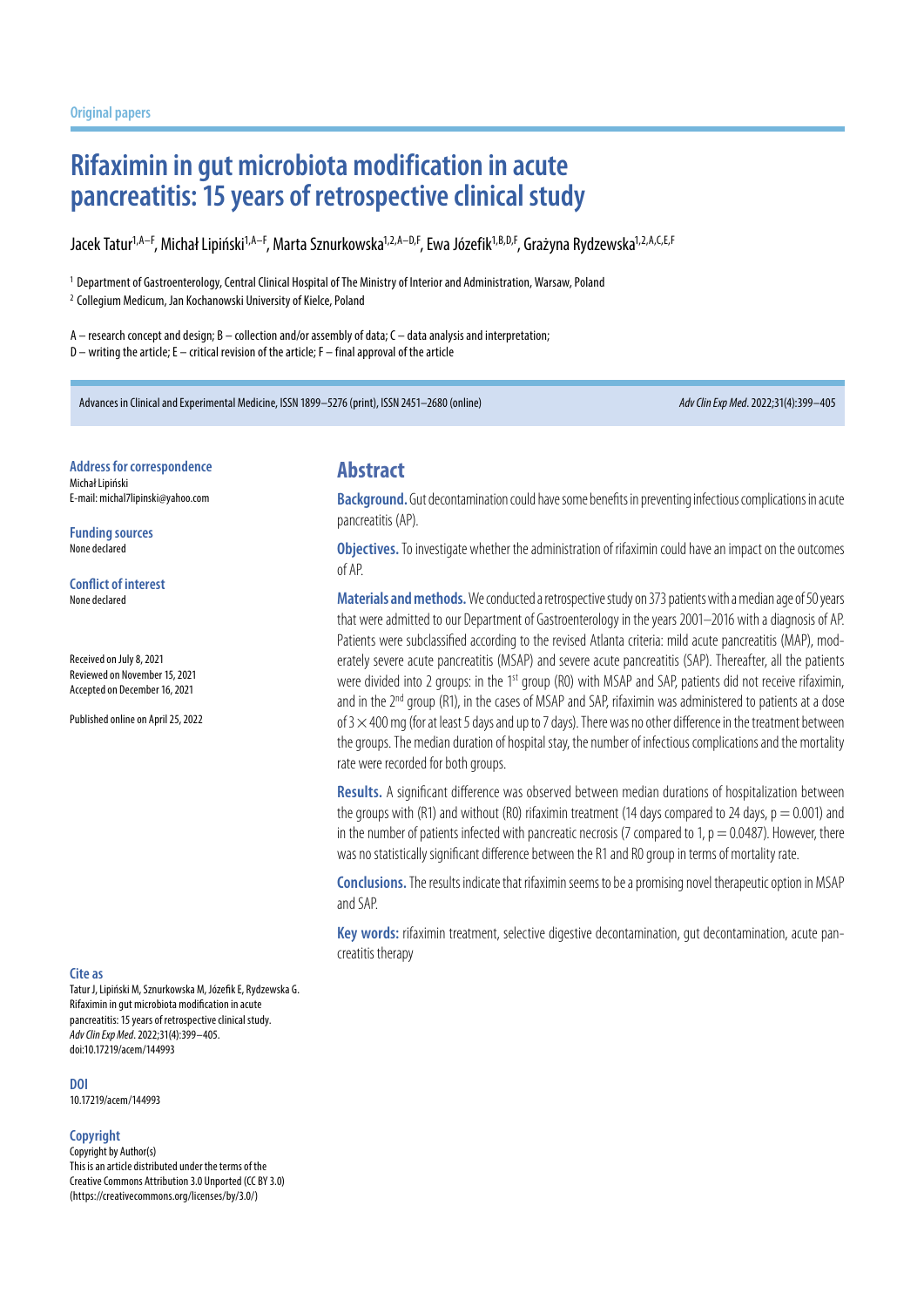# **Rifaximin in gut microbiota modification in acute pancreatitis: 15 years of retrospective clinical study**

Jacek Tatur<sup>1,A–F</sup>, Michał Lipiński<sup>1,A–F</sup>, Marta Sznurkowska<sup>1,2,A–D,F</sup>, Ewa Józefik<sup>1,B,D,F</sup>, Grażyna Rydzewska<sup>1,2,A,C,E,F</sup>

<sup>1</sup> Department of Gastroenterology, Central Clinical Hospital of The Ministry of Interior and Administration, Warsaw, Poland

<sup>2</sup> Collegium Medicum, Jan Kochanowski University of Kielce, Poland

A – research concept and design; B – collection and/or assembly of data; C – data analysis and interpretation; D – writing the article; E – critical revision of the article; F – final approval of the article

Advances in Clinical and Experimental Medicine, ISSN 1899–5276 (print), ISSN 2451–2680 (online) *Adv Clin Exp Med*. 2022;31(4):399–405

**Address for correspondence** Michał Lipiński E-mail: michal7lipinski@yahoo.com

**Funding sources** None declared

**Conflict of interest** None declared

Received on July 8, 2021 Reviewed on November 15, 2021 Accepted on December 16, 2021

Published online on April 25, 2022

#### **Cite as**

Tatur J, Lipiński M, Sznurkowska M, Józefik E, Rydzewska G. Rifaximin in gut microbiota modification in acute pancreatitis: 15 years of retrospective clinical study. *Adv Clin Exp Med*. 2022;31(4):399–405. doi:10.17219/acem/144993

**DOI** 10.17219/acem/144993

**Copyright**

Copyright by Author(s) This is an article distributed under the terms of the Creative Commons Attribution 3.0 Unported (CC BY 3.0) (https://creativecommons.org/licenses/by/3.0/)

### **Abstract**

**Background.** Gut decontamination could have some benefits in preventing infectious complications in acute pancreatitis (AP).

**Objectives.** To investigate whether the administration of rifaximin could have an impact on the outcomes of AP.

Materials and methods. We conducted a retrospective study on 373 patients with a median age of 50 years that were admitted to our Department of Gastroenterology in the years 2001–2016 with a diagnosis of AP. Patients were subclassified according to the revised Atlanta criteria: mild acute pancreatitis (MAP), moderately severe acute pancreatitis (MSAP) and severe acute pancreatitis (SAP). Thereafter, all the patients were divided into 2 groups: in the 1<sup>st</sup> group (R0) with MSAP and SAP, patients did not receive rifaximin, and in the  $2^{nd}$  group (R1), in the cases of MSAP and SAP, rifaximin was administered to patients at a dose of 3  $\times$  400 mg (for at least 5 days and up to 7 days). There was no other difference in the treatment between the groups. The median duration of hospital stay, the number of infectious complications and the mortality rate were recorded for both groups.

**Results.** A significant difference was observed between median durations of hospitalization between the groups with (R1) and without (R0) rifaximin treatment (14 days compared to 24 days,  $p = 0.001$ ) and in the number of patients infected with pancreatic necrosis (7 compared to 1,  $p = 0.0487$ ). However, there was no statistically significant difference between the R1 and R0 group in terms of mortality rate.

**Conclusions.** The results indicate that rifaximin seems to be a promising novel therapeutic option in MSAP and SAP.

**Key words:** rifaximin treatment, selective digestive decontamination, gut decontamination, acute pancreatitis therapy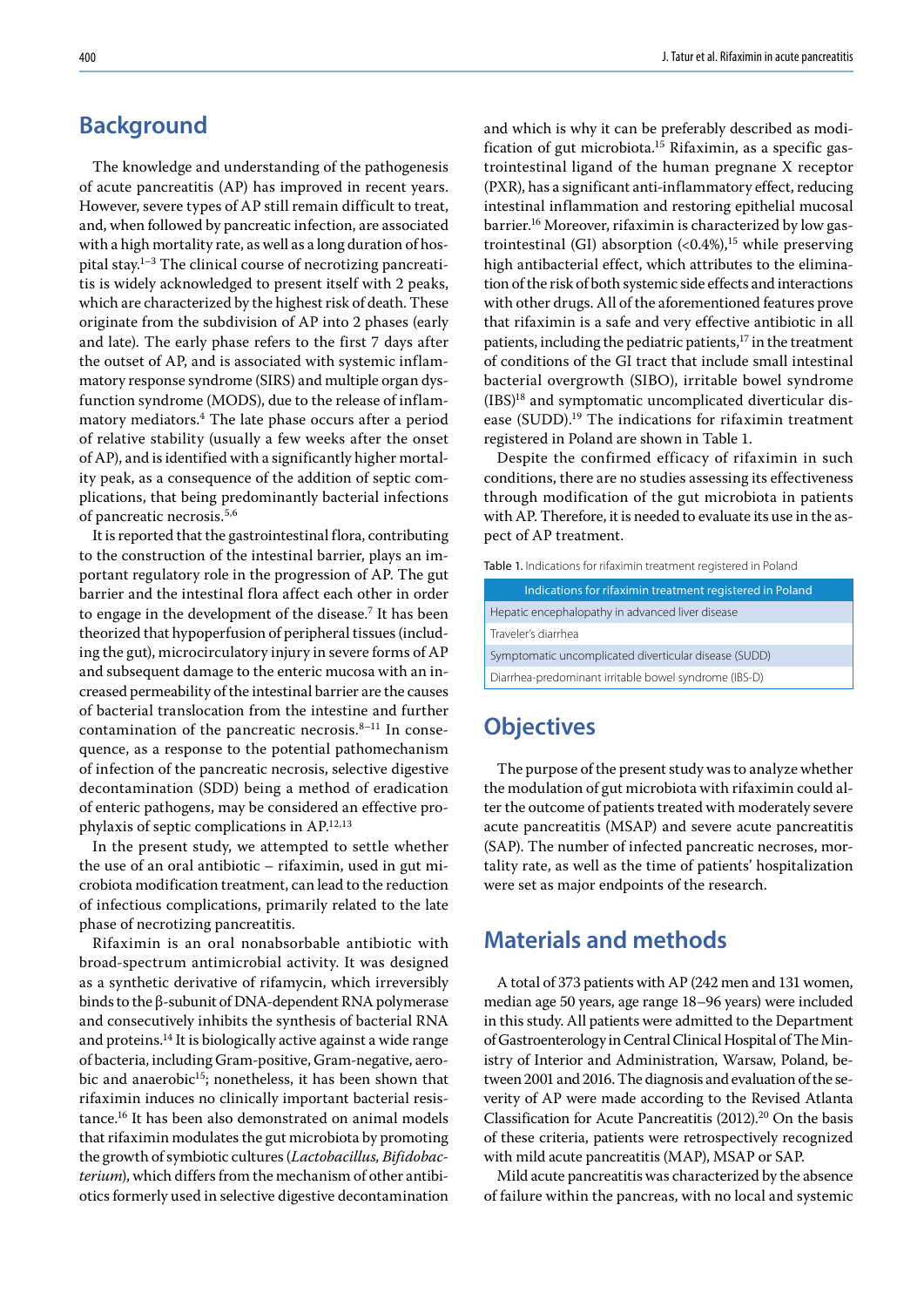## **Background**

The knowledge and understanding of the pathogenesis of acute pancreatitis (AP) has improved in recent years. However, severe types of AP still remain difficult to treat, and, when followed by pancreatic infection, are associated with a high mortality rate, as well as a long duration of hospital stay. $1-3$  The clinical course of necrotizing pancreatitis is widely acknowledged to present itself with 2 peaks, which are characterized by the highest risk of death. These originate from the subdivision of AP into 2 phases (early and late). The early phase refers to the first 7 days after the outset of AP, and is associated with systemic inflammatory response syndrome (SIRS) and multiple organ dysfunction syndrome (MODS), due to the release of inflammatory mediators.4 The late phase occurs after a period of relative stability (usually a few weeks after the onset of AP), and is identified with a significantly higher mortality peak, as a consequence of the addition of septic complications, that being predominantly bacterial infections of pancreatic necrosis.5,6

It is reported that the gastrointestinal flora, contributing to the construction of the intestinal barrier, plays an important regulatory role in the progression of AP. The gut barrier and the intestinal flora affect each other in order to engage in the development of the disease.7 It has been theorized that hypoperfusion of peripheral tissues (including the gut), microcirculatory injury in severe forms of AP and subsequent damage to the enteric mucosa with an increased permeability of the intestinal barrier are the causes of bacterial translocation from the intestine and further contamination of the pancreatic necrosis.8–11 In consequence, as a response to the potential pathomechanism of infection of the pancreatic necrosis, selective digestive decontamination (SDD) being a method of eradication of enteric pathogens, may be considered an effective prophylaxis of septic complications in AP.12,13

In the present study, we attempted to settle whether the use of an oral antibiotic – rifaximin, used in gut microbiota modification treatment, can lead to the reduction of infectious complications, primarily related to the late phase of necrotizing pancreatitis.

Rifaximin is an oral nonabsorbable antibiotic with broad-spectrum antimicrobial activity. It was designed as a synthetic derivative of rifamycin, which irreversibly binds to the β-subunit of DNA-dependent RNA polymerase and consecutively inhibits the synthesis of bacterial RNA and proteins.14 It is biologically active against a wide range of bacteria, including Gram-positive, Gram-negative, aerobic and anaerobic<sup>15</sup>; nonetheless, it has been shown that rifaximin induces no clinically important bacterial resistance.16 It has been also demonstrated on animal models that rifaximin modulates the gut microbiota by promoting the growth of symbiotic cultures (*Lactobacillus, Bifidobacterium*), which differs from the mechanism of other antibiotics formerly used in selective digestive decontamination and which is why it can be preferably described as modification of gut microbiota.<sup>15</sup> Rifaximin, as a specific gastrointestinal ligand of the human pregnane X receptor (PXR), has a significant anti-inflammatory effect, reducing intestinal inflammation and restoring epithelial mucosal barrier.16 Moreover, rifaximin is characterized by low gastrointestinal (GI) absorption  $($ <0.4%),<sup>15</sup> while preserving high antibacterial effect, which attributes to the elimination of the risk of both systemic side effects and interactions with other drugs. All of the aforementioned features prove that rifaximin is a safe and very effective antibiotic in all patients, including the pediatric patients, $17$  in the treatment of conditions of the GI tract that include small intestinal bacterial overgrowth (SIBO), irritable bowel syndrome (IBS)18 and symptomatic uncomplicated diverticular disease (SUDD).<sup>19</sup> The indications for rifaximin treatment registered in Poland are shown in Table 1.

Despite the confirmed efficacy of rifaximin in such conditions, there are no studies assessing its effectiveness through modification of the gut microbiota in patients with AP. Therefore, it is needed to evaluate its use in the aspect of AP treatment.

Table 1. Indications for rifaximin treatment registered in Poland

| Indications for rifaximin treatment registered in Poland |
|----------------------------------------------------------|
| Hepatic encephalopathy in advanced liver disease         |
| Traveler's diarrhea                                      |
| Symptomatic uncomplicated diverticular disease (SUDD)    |
| Diarrhea-predominant irritable bowel syndrome (IBS-D)    |

## **Objectives**

The purpose of the present study was to analyze whether the modulation of gut microbiota with rifaximin could alter the outcome of patients treated with moderately severe acute pancreatitis (MSAP) and severe acute pancreatitis (SAP). The number of infected pancreatic necroses, mortality rate, as well as the time of patients' hospitalization were set as major endpoints of the research.

### **Materials and methods**

A total of 373 patients with AP (242 men and 131 women, median age 50 years, age range 18–96 years) were included in this study. All patients were admitted to the Department of Gastroenterology in Central Clinical Hospital of The Ministry of Interior and Administration, Warsaw, Poland, between 2001 and 2016. The diagnosis and evaluation of the severity of AP were made according to the Revised Atlanta Classification for Acute Pancreatitis (2012).20 On the basis of these criteria, patients were retrospectively recognized with mild acute pancreatitis (MAP), MSAP or SAP.

Mild acute pancreatitis was characterized by the absence of failure within the pancreas, with no local and systemic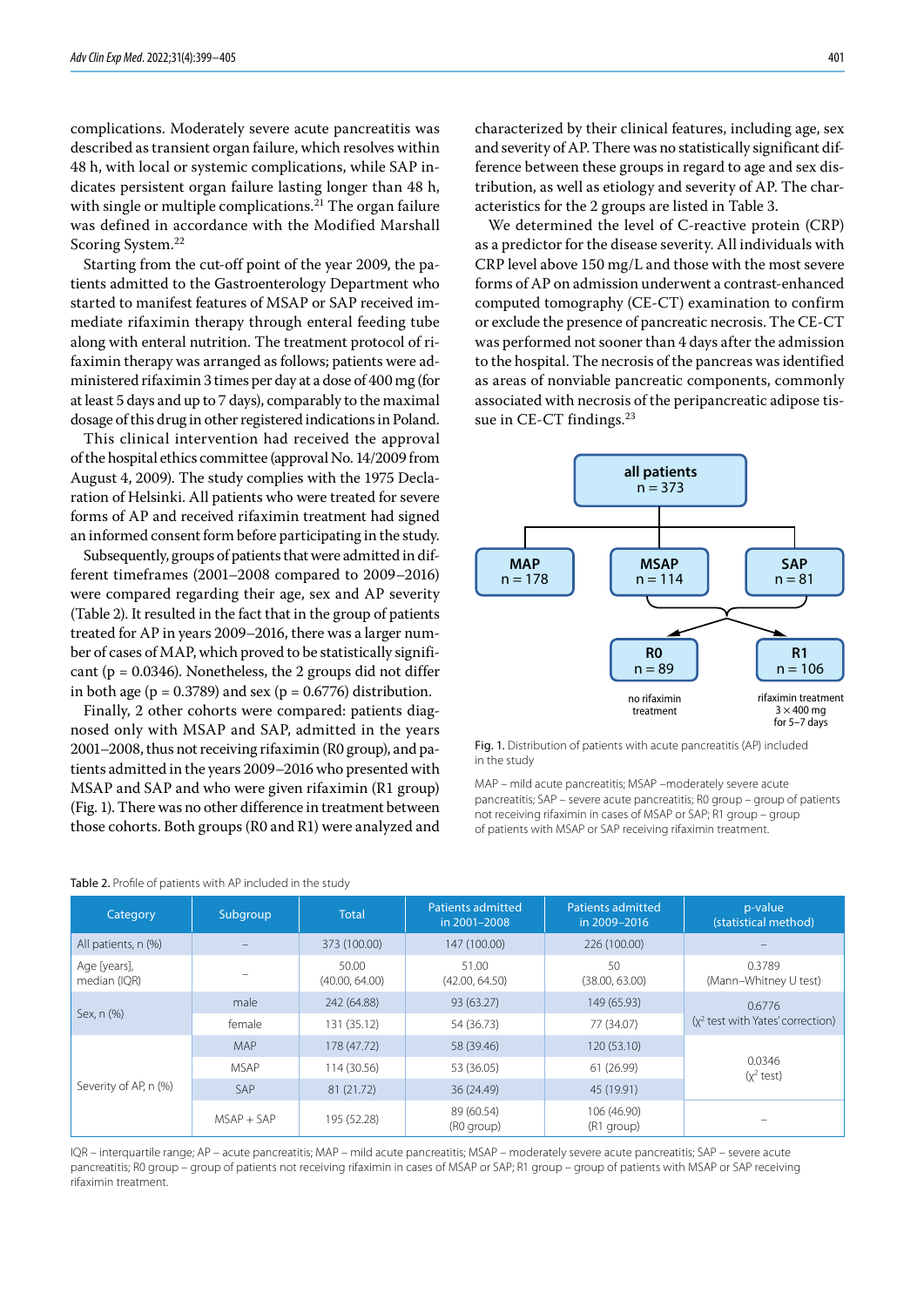complications. Moderately severe acute pancreatitis was described as transient organ failure, which resolves within 48 h, with local or systemic complications, while SAP indicates persistent organ failure lasting longer than 48 h, with single or multiple complications.<sup>21</sup> The organ failure was defined in accordance with the Modified Marshall Scoring System.<sup>22</sup>

Starting from the cut-off point of the year 2009, the patients admitted to the Gastroenterology Department who started to manifest features of MSAP or SAP received immediate rifaximin therapy through enteral feeding tube along with enteral nutrition. The treatment protocol of rifaximin therapy was arranged as follows; patients were administered rifaximin 3 times per day at a dose of 400 mg (for at least 5 days and up to 7 days), comparably to the maximal dosage of this drug in other registered indications in Poland.

This clinical intervention had received the approval of the hospital ethics committee (approval No. 14/2009 from August 4, 2009). The study complies with the 1975 Declaration of Helsinki. All patients who were treated for severe forms of AP and received rifaximin treatment had signed an informed consent form before participating in the study.

Subsequently, groups of patients that were admitted in different timeframes (2001–2008 compared to 2009–2016) were compared regarding their age, sex and AP severity (Table 2). It resulted in the fact that in the group of patients treated for AP in years 2009–2016, there was a larger number of cases of MAP, which proved to be statistically significant ( $p = 0.0346$ ). Nonetheless, the 2 groups did not differ in both age ( $p = 0.3789$ ) and sex ( $p = 0.6776$ ) distribution.

Finally, 2 other cohorts were compared: patients diagnosed only with MSAP and SAP, admitted in the years 2001–2008, thus not receiving rifaximin (R0 group), and patients admitted in the years 2009–2016 who presented with MSAP and SAP and who were given rifaximin (R1 group) (Fig. 1). There was no other difference in treatment between those cohorts. Both groups (R0 and R1) were analyzed and characterized by their clinical features, including age, sex and severity of AP. There was no statistically significant difference between these groups in regard to age and sex distribution, as well as etiology and severity of AP. The characteristics for the 2 groups are listed in Table 3.

We determined the level of C-reactive protein (CRP) as a predictor for the disease severity. All individuals with CRP level above 150 mg/L and those with the most severe forms of AP on admission underwent a contrast-enhanced computed tomography (CE-CT) examination to confirm or exclude the presence of pancreatic necrosis. The CE-CT was performed not sooner than 4 days after the admission to the hospital. The necrosis of the pancreas was identified as areas of nonviable pancreatic components, commonly associated with necrosis of the peripancreatic adipose tissue in CE-CT findings.<sup>23</sup>



Fig. 1. Distribution of patients with acute pancreatitis (AP) included in the study

MAP – mild acute pancreatitis; MSAP –moderately severe acute pancreatitis; SAP – severe acute pancreatitis; R0 group – group of patients not receiving rifaximin in cases of MSAP or SAP; R1 group – group of patients with MSAP or SAP receiving rifaximin treatment.

| Category                     | Subgroup     | <b>Total</b>            | <b>Patients admitted</b><br>in 2001-2008 | <b>Patients admitted</b><br>in 2009-2016 | p-value<br>(statistical method)     |
|------------------------------|--------------|-------------------------|------------------------------------------|------------------------------------------|-------------------------------------|
| All patients, n (%)          |              | 373 (100.00)            | 147 (100.00)                             | 226 (100.00)                             |                                     |
| Age [years],<br>median (IQR) |              | 50.00<br>(40.00, 64.00) | 51.00<br>(42.00, 64.50)                  | 50<br>(38.00, 63.00)                     | 0.3789<br>(Mann-Whitney U test)     |
| Sex, n (%)                   | male         | 242 (64.88)             | 93 (63.27)                               | 149 (65.93)                              | 0.6776                              |
|                              | female       | 131 (35.12)             | 54 (36.73)                               | 77 (34.07)                               | $(x^2$ test with Yates' correction) |
| Severity of AP, n (%)        | <b>MAP</b>   | 178 (47.72)             | 58 (39.46)                               | 120 (53.10)                              |                                     |
|                              | <b>MSAP</b>  | 114 (30.56)             | 53 (36.05)                               | 61 (26.99)                               | 0.0346<br>$(x^2$ test)              |
|                              | SAP          | 81 (21.72)              | 36 (24.49)                               | 45 (19.91)                               |                                     |
|                              | $MSAP + SAP$ | 195 (52.28)             | 89 (60.54)<br>(R0 group)                 | 106 (46.90)<br>(R1 group)                |                                     |

#### Table 2. Profile of patients with AP included in the study

IQR – interquartile range; AP – acute pancreatitis; MAP – mild acute pancreatitis; MSAP – moderately severe acute pancreatitis; SAP – severe acute pancreatitis; R0 group – group of patients not receiving rifaximin in cases of MSAP or SAP; R1 group – group of patients with MSAP or SAP receiving rifaximin treatment.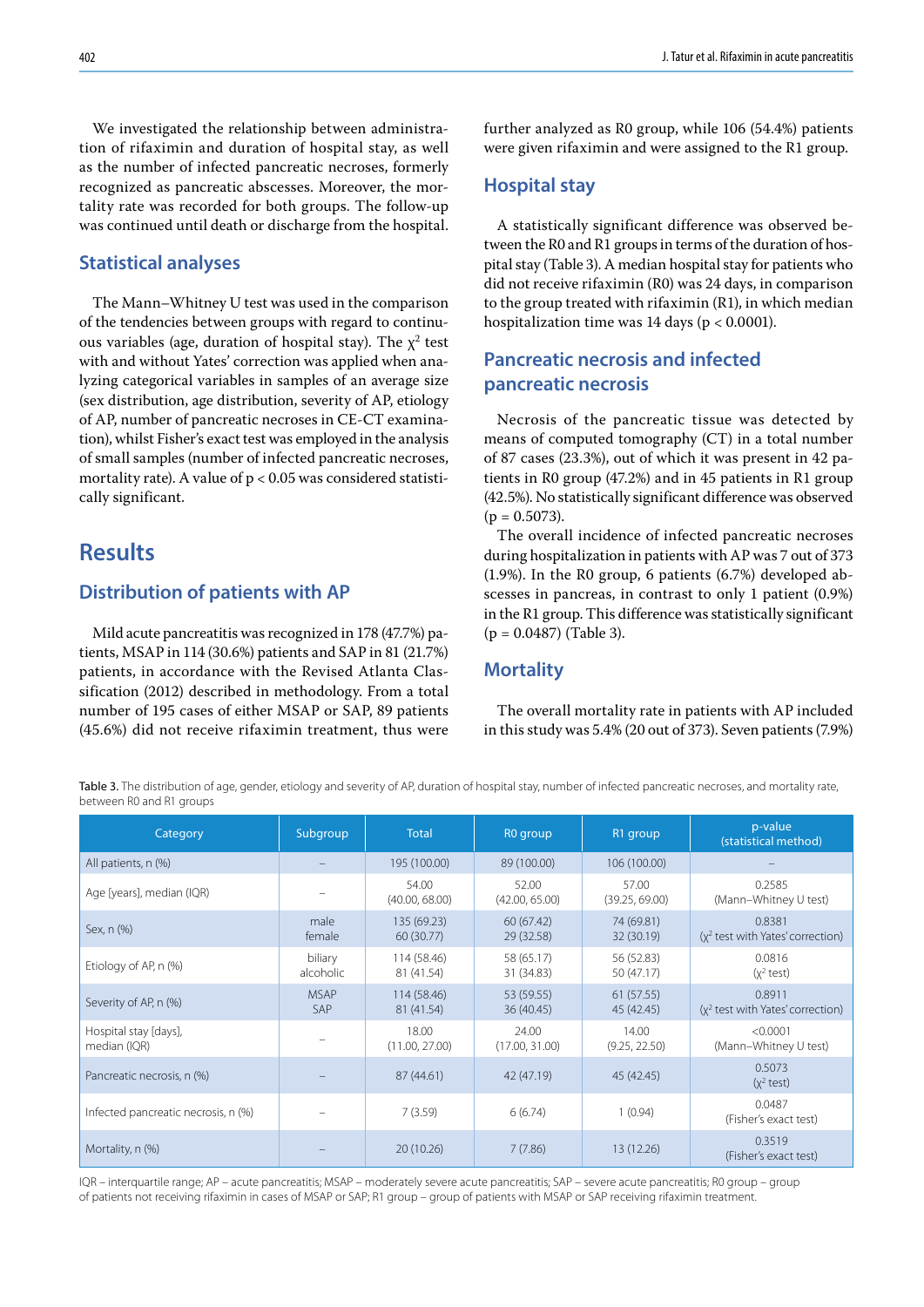402 J. Tatur et al. Rifaximin in acute pancreatitis

We investigated the relationship between administration of rifaximin and duration of hospital stay, as well as the number of infected pancreatic necroses, formerly recognized as pancreatic abscesses. Moreover, the mortality rate was recorded for both groups. The follow-up was continued until death or discharge from the hospital.

### **Statistical analyses**

The Mann–Whitney U test was used in the comparison of the tendencies between groups with regard to continuous variables (age, duration of hospital stay). The  $\chi^2$  test with and without Yates' correction was applied when analyzing categorical variables in samples of an average size (sex distribution, age distribution, severity of AP, etiology of AP, number of pancreatic necroses in CE-CT examination), whilst Fisher's exact test was employed in the analysis of small samples (number of infected pancreatic necroses, mortality rate). A value of  $p < 0.05$  was considered statistically significant.

## **Results**

### **Distribution of patients with AP**

Mild acute pancreatitis was recognized in 178 (47.7%) patients, MSAP in 114 (30.6%) patients and SAP in 81 (21.7%) patients, in accordance with the Revised Atlanta Classification (2012) described in methodology. From a total number of 195 cases of either MSAP or SAP, 89 patients (45.6%) did not receive rifaximin treatment, thus were further analyzed as R0 group, while 106 (54.4%) patients were given rifaximin and were assigned to the R1 group.

### **Hospital stay**

A statistically significant difference was observed between the R0 and R1 groups in terms of the duration of hospital stay (Table 3). A median hospital stay for patients who did not receive rifaximin (R0) was 24 days, in comparison to the group treated with rifaximin (R1), in which median hospitalization time was 14 days ( $p < 0.0001$ ).

### **Pancreatic necrosis and infected pancreatic necrosis**

Necrosis of the pancreatic tissue was detected by means of computed tomography (CT) in a total number of 87 cases (23.3%), out of which it was present in 42 patients in R0 group (47.2%) and in 45 patients in R1 group (42.5%). No statistically significant difference was observed  $(p = 0.5073)$ .

The overall incidence of infected pancreatic necroses during hospitalization in patients with AP was 7 out of 373 (1.9%). In the R0 group, 6 patients (6.7%) developed abscesses in pancreas, in contrast to only 1 patient (0.9%) in the R1 group. This difference was statistically significant (p = 0.0487) (Table 3).

### **Mortality**

The overall mortality rate in patients with AP included in this study was 5.4% (20 out of 373). Seven patients (7.9%)

Table 3. The distribution of age, gender, etiology and severity of AP, duration of hospital stay, number of infected pancreatic necroses, and mortality rate, between R0 and R1 groups

| Category                              | Subgroup             | <b>Total</b>              | R <sub>0</sub> group     | R1 group                 | p-value<br>(statistical method)               |
|---------------------------------------|----------------------|---------------------------|--------------------------|--------------------------|-----------------------------------------------|
| All patients, n (%)                   |                      | 195 (100.00)              | 89 (100.00)              | 106 (100.00)             |                                               |
| Age [years], median (IQR)             |                      | 54.00<br>(40.00, 68.00)   | 52.00<br>(42.00, 65.00)  | 57.00<br>(39.25, 69.00)  | 0.2585<br>(Mann-Whitney U test)               |
| Sex, n (%)                            | male<br>female       | 135 (69.23)<br>60 (30.77) | 60(67.42)<br>29 (32.58)  | 74 (69.81)<br>32 (30.19) | 0.8381<br>$(x^2$ test with Yates' correction) |
| Etiology of AP, n (%)                 | biliary<br>alcoholic | 114 (58.46)<br>81 (41.54) | 58 (65.17)<br>31 (34.83) | 56 (52.83)<br>50 (47.17) | 0.0816<br>$(x^2$ test)                        |
| Severity of AP, n (%)                 | <b>MSAP</b><br>SAP   | 114 (58.46)<br>81 (41.54) | 53 (59.55)<br>36 (40.45) | 61(57.55)<br>45 (42.45)  | 0.8911<br>$(x^2$ test with Yates' correction) |
| Hospital stay [days],<br>median (IQR) |                      | 18.00<br>(11.00, 27.00)   | 24.00<br>(17.00, 31.00)  | 14.00<br>(9.25, 22.50)   | < 0.0001<br>(Mann-Whitney U test)             |
| Pancreatic necrosis, n (%)            |                      | 87 (44.61)                | 42 (47.19)               | 45 (42.45)               | 0.5073<br>$(x^2$ test)                        |
| Infected pancreatic necrosis, n (%)   |                      | 7(3.59)                   | 6(6.74)                  | 1(0.94)                  | 0.0487<br>(Fisher's exact test)               |
| Mortality, n (%)                      |                      | 20(10.26)                 | 7(7.86)                  | 13 (12.26)               | 0.3519<br>(Fisher's exact test)               |

IQR – interquartile range; AP – acute pancreatitis; MSAP – moderately severe acute pancreatitis; SAP – severe acute pancreatitis; R0 group – group of patients not receiving rifaximin in cases of MSAP or SAP; R1 group – group of patients with MSAP or SAP receiving rifaximin treatment.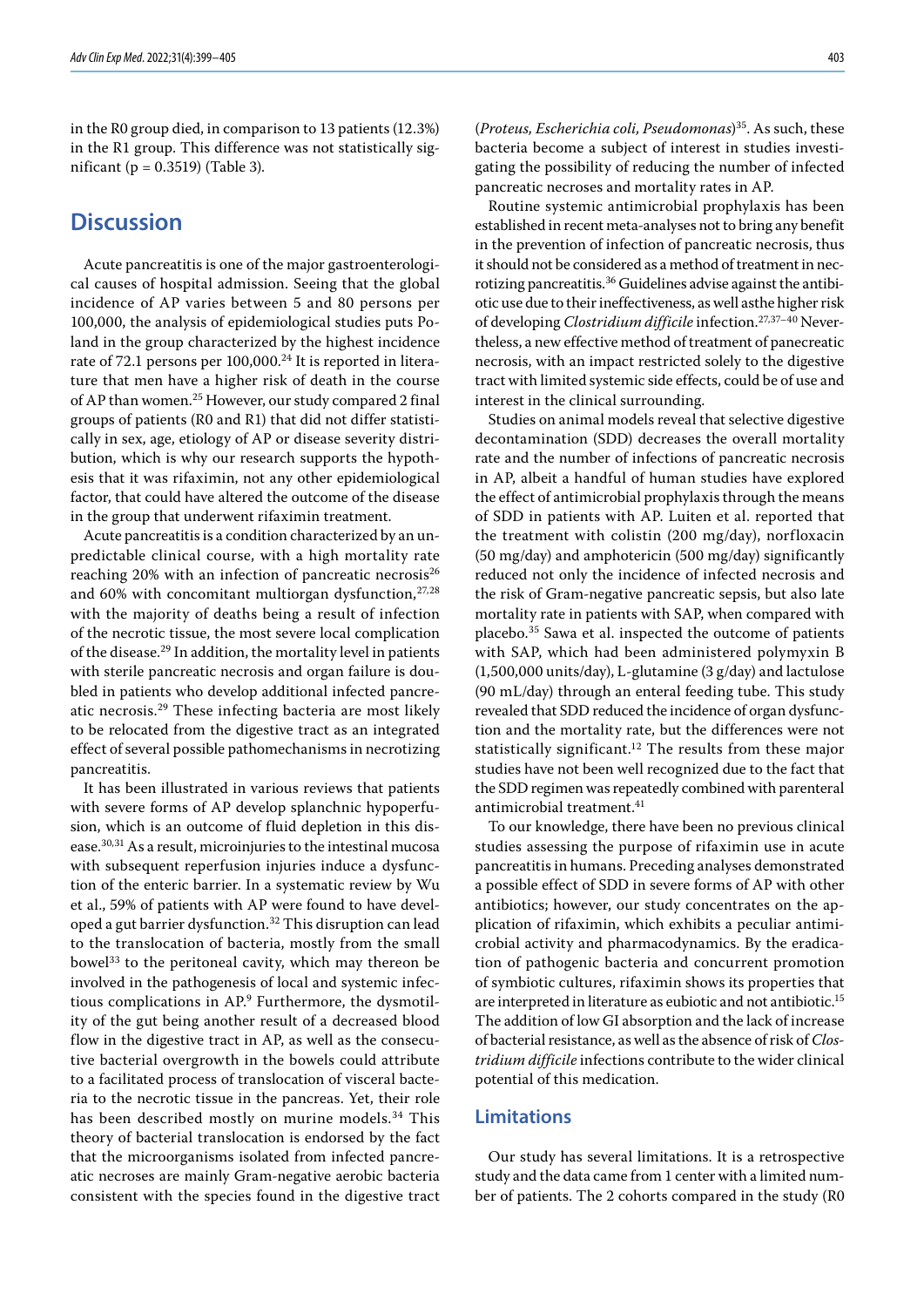in the R0 group died, in comparison to 13 patients (12.3%) in the R1 group. This difference was not statistically significant (p = 0.3519) (Table 3).

### **Discussion**

Acute pancreatitis is one of the major gastroenterological causes of hospital admission. Seeing that the global incidence of AP varies between 5 and 80 persons per 100,000, the analysis of epidemiological studies puts Poland in the group characterized by the highest incidence rate of 72.1 persons per 100,000.<sup>24</sup> It is reported in literature that men have a higher risk of death in the course of AP than women.<sup>25</sup> However, our study compared 2 final groups of patients (R0 and R1) that did not differ statistically in sex, age, etiology of AP or disease severity distribution, which is why our research supports the hypothesis that it was rifaximin, not any other epidemiological factor, that could have altered the outcome of the disease in the group that underwent rifaximin treatment.

Acute pancreatitis is a condition characterized by an unpredictable clinical course, with a high mortality rate reaching 20% with an infection of pancreatic necrosis<sup>26</sup> and 60% with concomitant multiorgan dysfunction, <sup>27,28</sup> with the majority of deaths being a result of infection of the necrotic tissue, the most severe local complication of the disease.<sup>29</sup> In addition, the mortality level in patients with sterile pancreatic necrosis and organ failure is doubled in patients who develop additional infected pancreatic necrosis.29 These infecting bacteria are most likely to be relocated from the digestive tract as an integrated effect of several possible pathomechanisms in necrotizing pancreatitis.

It has been illustrated in various reviews that patients with severe forms of AP develop splanchnic hypoperfusion, which is an outcome of fluid depletion in this disease.30,31 As a result, microinjuries to the intestinal mucosa with subsequent reperfusion injuries induce a dysfunction of the enteric barrier. In a systematic review by Wu et al., 59% of patients with AP were found to have developed a gut barrier dysfunction.<sup>32</sup> This disruption can lead to the translocation of bacteria, mostly from the small bowel33 to the peritoneal cavity, which may thereon be involved in the pathogenesis of local and systemic infectious complications in AP.<sup>9</sup> Furthermore, the dysmotility of the gut being another result of a decreased blood flow in the digestive tract in AP, as well as the consecutive bacterial overgrowth in the bowels could attribute to a facilitated process of translocation of visceral bacteria to the necrotic tissue in the pancreas. Yet, their role has been described mostly on murine models.<sup>34</sup> This theory of bacterial translocation is endorsed by the fact that the microorganisms isolated from infected pancreatic necroses are mainly Gram-negative aerobic bacteria consistent with the species found in the digestive tract

(*Proteus, Escherichia coli, Pseudomonas*) 35. As such, these bacteria become a subject of interest in studies investigating the possibility of reducing the number of infected pancreatic necroses and mortality rates in AP.

Routine systemic antimicrobial prophylaxis has been established in recent meta-analyses not to bring any benefit in the prevention of infection of pancreatic necrosis, thus it should not be considered as a method of treatment in necrotizing pancreatitis.36 Guidelines advise against the antibiotic use due to their ineffectiveness, as well asthe higher risk of developing *Clostridium difficile* infection.27,37–40 Nevertheless, a new effective method of treatment of panecreatic necrosis, with an impact restricted solely to the digestive tract with limited systemic side effects, could be of use and interest in the clinical surrounding.

Studies on animal models reveal that selective digestive decontamination (SDD) decreases the overall mortality rate and the number of infections of pancreatic necrosis in AP, albeit a handful of human studies have explored the effect of antimicrobial prophylaxis through the means of SDD in patients with AP. Luiten et al. reported that the treatment with colistin (200 mg/day), norfloxacin (50 mg/day) and amphotericin (500 mg/day) significantly reduced not only the incidence of infected necrosis and the risk of Gram-negative pancreatic sepsis, but also late mortality rate in patients with SAP, when compared with placebo.35 Sawa et al. inspected the outcome of patients with SAP, which had been administered polymyxin B (1,500,000 units/day), L-glutamine (3 g/day) and lactulose (90 mL/day) through an enteral feeding tube. This study revealed that SDD reduced the incidence of organ dysfunction and the mortality rate, but the differences were not statistically significant.<sup>12</sup> The results from these major studies have not been well recognized due to the fact that the SDD regimen was repeatedly combined with parenteral antimicrobial treatment.  $\hspace{-.03cm}^{41}$ 

To our knowledge, there have been no previous clinical studies assessing the purpose of rifaximin use in acute pancreatitis in humans. Preceding analyses demonstrated a possible effect of SDD in severe forms of AP with other antibiotics; however, our study concentrates on the application of rifaximin, which exhibits a peculiar antimicrobial activity and pharmacodynamics. By the eradication of pathogenic bacteria and concurrent promotion of symbiotic cultures, rifaximin shows its properties that are interpreted in literature as eubiotic and not antibiotic.15 The addition of low GI absorption and the lack of increase of bacterial resistance, as well as the absence of risk of *Clostridium difficile* infections contribute to the wider clinical potential of this medication.

#### **Limitations**

Our study has several limitations. It is a retrospective study and the data came from 1 center with a limited number of patients. The 2 cohorts compared in the study (R0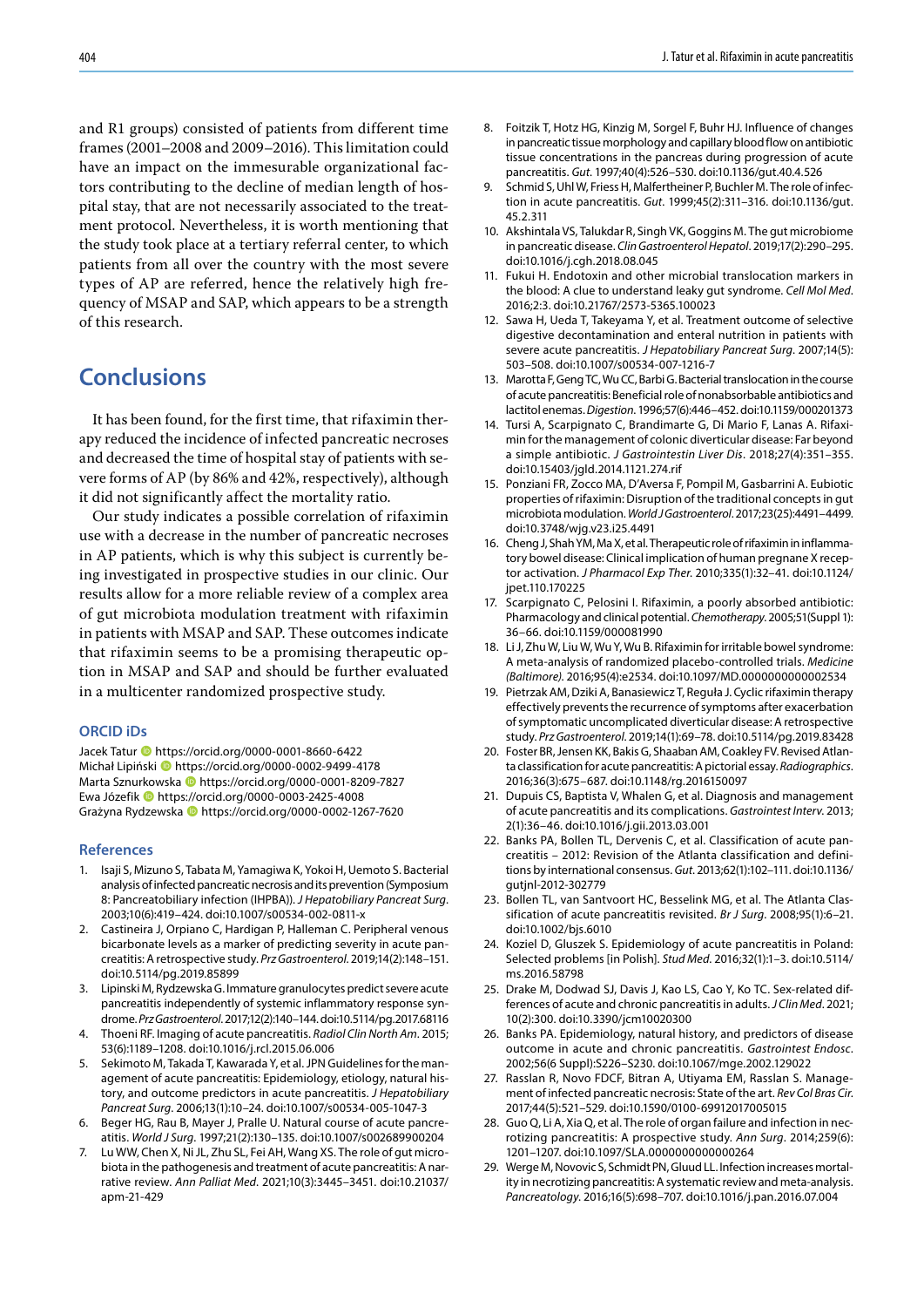and R1 groups) consisted of patients from different time frames (2001–2008 and 2009–2016). This limitation could have an impact on the immesurable organizational factors contributing to the decline of median length of hospital stay, that are not necessarily associated to the treatment protocol. Nevertheless, it is worth mentioning that the study took place at a tertiary referral center, to which patients from all over the country with the most severe types of AP are referred, hence the relatively high frequency of MSAP and SAP, which appears to be a strength of this research.

## **Conclusions**

It has been found, for the first time, that rifaximin therapy reduced the incidence of infected pancreatic necroses and decreased the time of hospital stay of patients with severe forms of AP (by 86% and 42%, respectively), although it did not significantly affect the mortality ratio.

Our study indicates a possible correlation of rifaximin use with a decrease in the number of pancreatic necroses in AP patients, which is why this subject is currently being investigated in prospective studies in our clinic. Our results allow for a more reliable review of a complex area of gut microbiota modulation treatment with rifaximin in patients with MSAP and SAP. These outcomes indicate that rifaximin seems to be a promising therapeutic option in MSAP and SAP and should be further evaluated in a multicenter randomized prospective study.

#### **ORCID iDs**

Jacek Tatur **b** https://orcid.org/0000-0001-8660-6422 Michał Lipiński **I**nttps://orcid.org/0000-0002-9499-4178 Marta Sznurkowska **ID** https://orcid.org/0000-0001-8209-7827 Ewa Józefik https://orcid.org/0000-0003-2425-4008 Grażyna Rydzewska https://orcid.org/0000-0002-1267-7620

#### **References**

- 1. Isaji S, Mizuno S, Tabata M, Yamagiwa K, Yokoi H, Uemoto S. Bacterial analysis of infected pancreatic necrosis and its prevention (Symposium 8: Pancreatobiliary infection (IHPBA)). *J Hepatobiliary Pancreat Surg*. 2003;10(6):419–424. doi:10.1007/s00534-002-0811-x
- 2. Castineira J, Orpiano C, Hardigan P, Halleman C. Peripheral venous bicarbonate levels as a marker of predicting severity in acute pancreatitis: A retrospective study. *Prz Gastroenterol*. 2019;14(2):148–151. doi:10.5114/pg.2019.85899
- 3. Lipinski M, Rydzewska G. Immature granulocytes predict severe acute pancreatitis independently of systemic inflammatory response syndrome. *Prz Gastroenterol*. 2017;12(2):140–144. doi:10.5114/pg.2017.68116
- 4. Thoeni RF. Imaging of acute pancreatitis. *Radiol Clin North Am*. 2015; 53(6):1189–1208. doi:10.1016/j.rcl.2015.06.006
- 5. Sekimoto M, Takada T, Kawarada Y, et al. JPN Guidelines for the management of acute pancreatitis: Epidemiology, etiology, natural history, and outcome predictors in acute pancreatitis. *J Hepatobiliary Pancreat Surg*. 2006;13(1):10–24. doi:10.1007/s00534-005-1047-3
- 6. Beger HG, Rau B, Mayer J, Pralle U. Natural course of acute pancreatitis. *World J Surg*. 1997;21(2):130–135. doi:10.1007/s002689900204
- 7. Lu WW, Chen X, Ni JL, Zhu SL, Fei AH, Wang XS. The role of gut microbiota in the pathogenesis and treatment of acute pancreatitis: A narrative review. *Ann Palliat Med*. 2021;10(3):3445–3451. doi:10.21037/ apm-21-429
- 8. Foitzik T, Hotz HG, Kinzig M, Sorgel F, Buhr HJ. Influence of changes in pancreatic tissue morphology and capillary blood flow on antibiotic tissue concentrations in the pancreas during progression of acute pancreatitis. *Gut*. 1997;40(4):526–530. doi:10.1136/gut.40.4.526
- Schmid S, Uhl W, Friess H, Malfertheiner P, Buchler M. The role of infection in acute pancreatitis. *Gut*. 1999;45(2):311–316. doi:10.1136/gut. 45.2.311
- 10. Akshintala VS, Talukdar R, Singh VK, Goggins M. The gut microbiome in pancreatic disease. *Clin Gastroenterol Hepatol*. 2019;17(2):290–295. doi:10.1016/j.cgh.2018.08.045
- 11. Fukui H. Endotoxin and other microbial translocation markers in the blood: A clue to understand leaky gut syndrome. *Cell Mol Med*. 2016;2:3. doi:10.21767/2573-5365.100023
- 12. Sawa H, Ueda T, Takeyama Y, et al. Treatment outcome of selective digestive decontamination and enteral nutrition in patients with severe acute pancreatitis. *J Hepatobiliary Pancreat Surg*. 2007;14(5): 503–508. doi:10.1007/s00534-007-1216-7
- 13. Marotta F, Geng TC, Wu CC, Barbi G. Bacterial translocation in the course of acute pancreatitis: Beneficial role of nonabsorbable antibiotics and lactitol enemas. *Digestion*. 1996;57(6):446–452. doi:10.1159/000201373
- 14. Tursi A, Scarpignato C, Brandimarte G, Di Mario F, Lanas A. Rifaximin for the management of colonic diverticular disease: Far beyond a simple antibiotic. *J Gastrointestin Liver Dis*. 2018;27(4):351–355. doi:10.15403/jgld.2014.1121.274.rif
- 15. Ponziani FR, Zocco MA, D'Aversa F, Pompil M, Gasbarrini A. Eubiotic properties of rifaximin: Disruption of the traditional concepts in gut microbiota modulation. *World J Gastroenterol*. 2017;23(25):4491–4499. doi:10.3748/wjg.v23.i25.4491
- 16. Cheng J, Shah YM, Ma X, et al. Therapeutic role of rifaximin in inflammatory bowel disease: Clinical implication of human pregnane X receptor activation. *J Pharmacol Exp Ther*. 2010;335(1):32–41. doi:10.1124/ jpet.110.170225
- 17. Scarpignato C, Pelosini I. Rifaximin, a poorly absorbed antibiotic: Pharmacology and clinical potential. *Chemotherapy*. 2005;51(Suppl 1): 36–66. doi:10.1159/000081990
- 18. Li J, Zhu W, Liu W, Wu Y, Wu B. Rifaximin for irritable bowel syndrome: A meta-analysis of randomized placebo-controlled trials. *Medicine (Baltimore)*. 2016;95(4):e2534. doi:10.1097/MD.0000000000002534
- 19. Pietrzak AM, Dziki A, Banasiewicz T, Reguła J. Cyclic rifaximin therapy effectively prevents the recurrence of symptoms after exacerbation of symptomatic uncomplicated diverticular disease: A retrospective study. *Prz Gastroenterol*. 2019;14(1):69–78. doi:10.5114/pg.2019.83428
- 20. Foster BR, Jensen KK, Bakis G, Shaaban AM, Coakley FV. Revised Atlanta classification for acute pancreatitis: A pictorial essay. *Radiographics*. 2016;36(3):675–687. doi:10.1148/rg.2016150097
- 21. Dupuis CS, Baptista V, Whalen G, et al. Diagnosis and management of acute pancreatitis and its complications. *Gastrointest Interv*. 2013; 2(1):36–46. doi:10.1016/j.gii.2013.03.001
- 22. Banks PA, Bollen TL, Dervenis C, et al. Classification of acute pancreatitis – 2012: Revision of the Atlanta classification and definitions by international consensus. *Gut*. 2013;62(1):102–111. doi:10.1136/ gutjnl-2012-302779
- 23. Bollen TL, van Santvoort HC, Besselink MG, et al. The Atlanta Classification of acute pancreatitis revisited. *Br J Surg*. 2008;95(1):6–21. doi:10.1002/bjs.6010
- 24. Koziel D, Gluszek S. Epidemiology of acute pancreatitis in Poland: Selected problems [in Polish]. *Stud Med*. 2016;32(1):1–3. doi:10.5114/ ms.2016.58798
- 25. Drake M, Dodwad SJ, Davis J, Kao LS, Cao Y, Ko TC. Sex-related differences of acute and chronic pancreatitis in adults. *J Clin Med*. 2021; 10(2):300. doi:10.3390/jcm10020300
- 26. Banks PA. Epidemiology, natural history, and predictors of disease outcome in acute and chronic pancreatitis. *Gastrointest Endosc*. 2002;56(6 Suppl):S226–S230. doi:10.1067/mge.2002.129022
- 27. Rasslan R, Novo FDCF, Bitran A, Utiyama EM, Rasslan S. Management of infected pancreatic necrosis: State of the art. *Rev Col Bras Cir*. 2017;44(5):521–529. doi:10.1590/0100-69912017005015
- 28. Guo Q, Li A, Xia Q, et al. The role of organ failure and infection in necrotizing pancreatitis: A prospective study. *Ann Surg*. 2014;259(6): 1201–1207. doi:10.1097/SLA.0000000000000264
- 29. Werge M, Novovic S, Schmidt PN, Gluud LL. Infection increases mortality in necrotizing pancreatitis: A systematic review and meta-analysis. *Pancreatology*. 2016;16(5):698–707. doi:10.1016/j.pan.2016.07.004